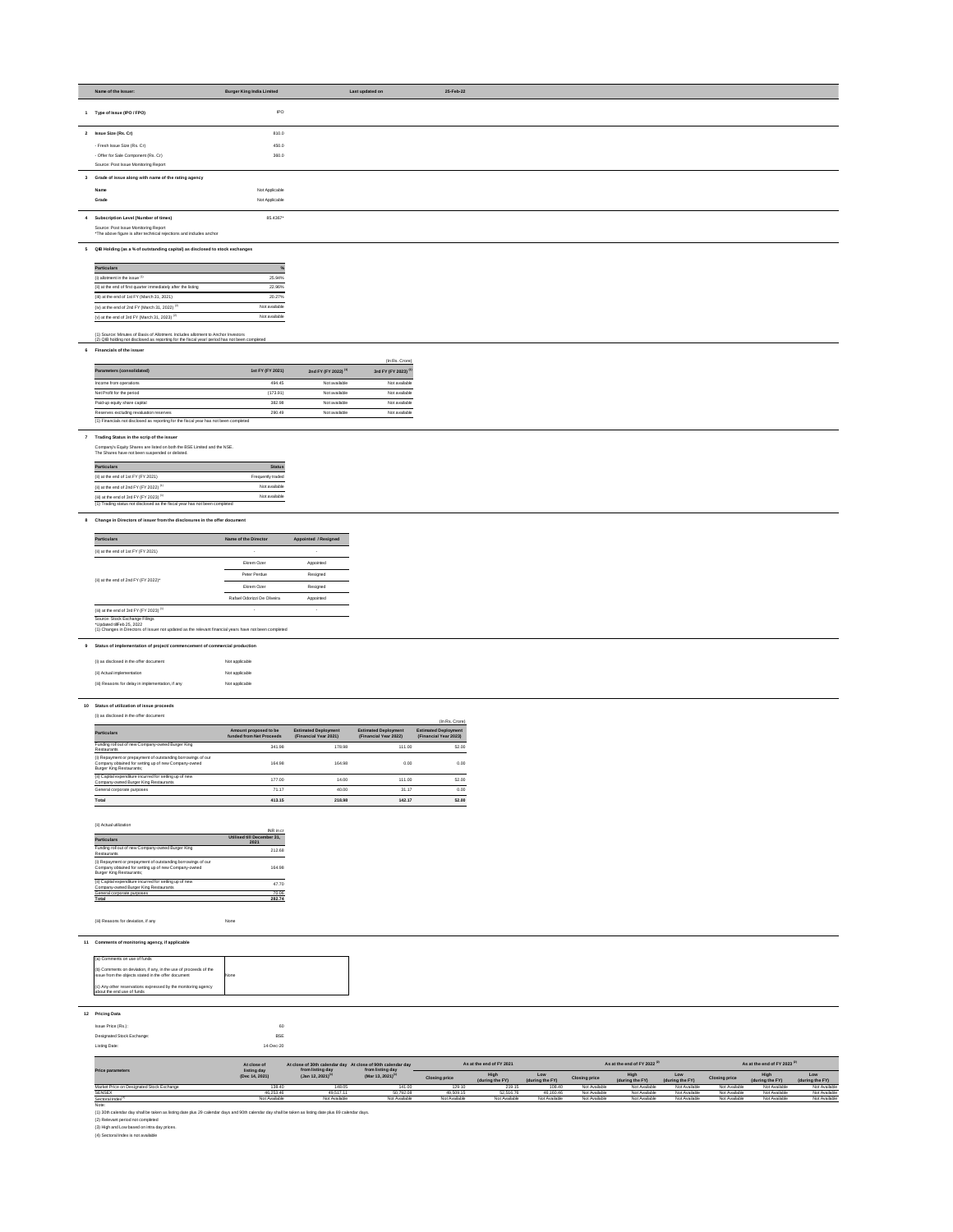| Name of the Issuer:                                                                                         | <b>Burger King India Limited</b> | Last updated on | 25-Feb-22 |
|-------------------------------------------------------------------------------------------------------------|----------------------------------|-----------------|-----------|
| Type of Issue (IPO / FPO)                                                                                   | <b>IPO</b>                       |                 |           |
| 2 Issue Size (Rs. Cr)                                                                                       | 810.0                            |                 |           |
| - Fresh Issue Size (Rs. Cr)                                                                                 | 450.0                            |                 |           |
| - Offer for Sale Component (Rs. Cr)                                                                         | 360.0                            |                 |           |
| Source: Post Issue Monitoring Report                                                                        |                                  |                 |           |
| 3 Grade of issue along with name of the rating agency                                                       |                                  |                 |           |
| <b>Name</b>                                                                                                 | Not Applicable                   |                 |           |
| Grade                                                                                                       | Not Applicable                   |                 |           |
| 4 Subscription Level (Number of times)                                                                      | 85.4367*                         |                 |           |
| Source: Post Issue Monitoring Report<br>*The above figure is after technical rejections and includes anchor |                                  |                 |           |

# **5 QIB Holding (as a % of outstanding capital) as disclosed to stock exchanges**

| <b>Particulars</b>                                             | $\frac{9}{6}$ |
|----------------------------------------------------------------|---------------|
| (i) allotment in the issue $(1)$                               | 25.94%        |
| (ii) at the end of first quarter immediately after the listing | 22.96%        |
| (iii) at the end of 1st $FY$ (March 31, 2021)                  | 20.27%        |
| (iv) at the end of 2nd FY (March 31, 2022) $(2)$               | Not available |
| (v) at the end of 3rd FY (March 31, 2023) $(2)$                | Not available |

#### (1) Source: Minutes of Basis of Allotment. Includes allotment to Anchor Investors (2) QIB holding not disclosed as reporting for the fiscal year/ period has not been completed

#### **6 Financials of the issuer**

| Parameters (consolidated)                                                            | 1st FY (FY 2021) | 2nd FY (FY 2022) <sup>(1)</sup> | (In Rs. Crore)<br>3rd FY (FY 2023) <sup>(1)</sup> |
|--------------------------------------------------------------------------------------|------------------|---------------------------------|---------------------------------------------------|
| Income from operations                                                               | 494.45           | Not available                   | Not available                                     |
| Net Profit for the period                                                            | (173.91)         | Not available                   | Not available                                     |
| Paid-up equity share capital                                                         | 382.98           | Not available                   | Not available                                     |
| Reserves excluding revaluation reserves                                              | 290.49           | Not available                   | Not available                                     |
| (1) Financials not disclosed as reporting for the fiscal year has not been completed |                  |                                 |                                                   |

### **7 Trading Status in the scrip of the issuer**

Company's Equity Shares are listed on both the BSE Limited and the NSE. The Shares have not been suspended or delisted.

| <b>Particulars</b>                                 | <b>Status</b>     |
|----------------------------------------------------|-------------------|
| (ii) at the end of $1st$ FY (FY 2021)              | Frequently traded |
| (ii) at the end of 2nd FY (FY 2022) <sup>(1)</sup> | Not available     |
| (iii) at the end of 3rd FY (FY 2023) $(1)$         | Not available     |

#### **8 Change in Directors of issuer from the disclosures in the offer document**

(1) Changes in Directors of Issuer not updated as the relevant financial years have not been completed

# **9 Status of implementation of project/ commencement of commercial production**

| (i) as disclosed in the offer document            | Not applicable |
|---------------------------------------------------|----------------|
| (ii) Actual implementation                        | Not applicable |
| (iii) Reasons for delay in implementation, if any | Not applicable |

# **10 Status of utilization of issue proceeds**

### (i) as disclosed in the offer document

| (i) as disclosed in the UITER document                                                                                                                  |                                                   |                                                      |                                                      | (In Rs. Crore)                                       |
|---------------------------------------------------------------------------------------------------------------------------------------------------------|---------------------------------------------------|------------------------------------------------------|------------------------------------------------------|------------------------------------------------------|
| <b>Particulars</b>                                                                                                                                      | Amount proposed to be<br>funded from Net Proceeds | <b>Estimated Deployment</b><br>(Financial Year 2021) | <b>Estimated Deployment</b><br>(Financial Year 2022) | <b>Estimated Deployment</b><br>(Financial Year 2023) |
| Funding roll out of new Company-owned Burger King<br>Restaurants                                                                                        | 341.98                                            | 178.98                                               | 111.00                                               | 52.00                                                |
| (i) Repayment or prepayment of outstanding borrowings of our<br>Company obtained for setting up of new Company-owned<br><b>Burger King Restaurants;</b> | 164.98                                            | 164.98                                               | 0.00                                                 | 0.00                                                 |
| (ii) Capital expenditure incurred for setting up of new<br>Company-owned Burger King Restaurants                                                        | 177.00                                            | 14.00                                                | 111.00                                               | 52.00                                                |
| General corporate purposes                                                                                                                              | 71.17                                             | 40.00                                                | 31.17                                                | 0.00                                                 |
| Total                                                                                                                                                   | 413.15                                            | 218.98                                               | 142.17                                               | 52.00                                                |

### (ii) Actual utilization

| , <i>, .</i> .o.aa. a                                                                                                                                   | INR in cr                          |
|---------------------------------------------------------------------------------------------------------------------------------------------------------|------------------------------------|
| <b>Particulars</b>                                                                                                                                      | Utilised till December 31,<br>2021 |
| Funding roll out of new Company-owned Burger King<br>Restaurants                                                                                        | 212.68                             |
| (i) Repayment or prepayment of outstanding borrowings of our<br>Company obtained for setting up of new Company-owned<br><b>Burger King Restaurants:</b> | 164.98                             |
| (ii) Capital expenditure incurred for setting up of new<br>Company-owned Burger King Restaurants                                                        | 47.70                              |
| General corporate purposes                                                                                                                              | 70.06                              |
| Total                                                                                                                                                   | 282.74                             |

(iii) Reasons for deviation, if any None

| <b>Particulars</b>                         | Name of the Director        | <b>Appointed / Resigned</b> |  |
|--------------------------------------------|-----------------------------|-----------------------------|--|
| (ii) at the end of $1st$ FY (FY 2021)      |                             |                             |  |
|                                            | Ekrem Ozer                  | Appointed                   |  |
|                                            | Peter Perdue                | Resigned                    |  |
| (ii) at the end of 2nd FY (FY 2022)*       | Ekrem Ozer                  | Resigned                    |  |
|                                            | Rafael Odorizzi De Oliveira | Appointed                   |  |
| (iii) at the end of 3rd FY (FY 2023) $(1)$ |                             | $\overline{\phantom{a}}$    |  |

# **12 Pricing Data**

| Issue Price (Rs.):         | 60         |  |
|----------------------------|------------|--|
| Designated Stock Exchange: | <b>BSE</b> |  |
| Listing Date:              | 14-Dec-20  |  |

| (a) Comments on use of funds                                                                                            |      |
|-------------------------------------------------------------------------------------------------------------------------|------|
| (b) Comments on deviation, if any, in the use of proceeds of the<br>issue from the objects stated in the offer document | None |
| (c) Any other reservations expressed by the monitoring agency<br>about the end use of funds                             |      |

|                                                          | At close of   | At close of 30th calendar day At close of 90th calendar day<br>from listing day | from listing day              |                      | As at the end of FY 2021 |                        |                      | As at the end of FY 2022 <sup>(2)</sup> |                        |                      | As at the end of FY 2023 $^{(2)}$ |                        |
|----------------------------------------------------------|---------------|---------------------------------------------------------------------------------|-------------------------------|----------------------|--------------------------|------------------------|----------------------|-----------------------------------------|------------------------|----------------------|-----------------------------------|------------------------|
| listing day<br><b>Price parameters</b><br>(Dec 14, 2021) |               | $($ Jan 12, 2021) <sup>(1)</sup>                                                | (Mar 13, 2021) <sup>(1)</sup> | <b>Closing price</b> | High<br>(during the FY)  | Low<br>(during the FY) | <b>Closing price</b> | <b>High</b><br>(during the FY)          | Low<br>(during the FY) | <b>Closing price</b> | (during the FY)                   | Low<br>(during the FY) |
| Market Price on Designated Stock Exchange                | 38.40         | 148.05                                                                          | 141.00                        | 129.10               | 219.15                   | 108.40                 | Not Available        | Not Available                           | Not Available          | Not Available        | Not Available                     | <b>Not Available</b>   |
| <b>SENSEX</b>                                            | 46,253.46     | 49,517.11                                                                       | 50,792.08                     | 49,509.1             | 52,516.76                | 46,160.46              | Not Available        | Not Available                           | Not Available          | Not Available        | Not Available                     | <b>Not Available</b>   |
| Sectoral Index <sup>(d</sup>                             | Not Available | Not Available                                                                   | Not Available                 | Not Available        | Not Available            | Not Available          | Not Available        | Not Available                           | Not Available          | Not Available        | Not Available                     | <b>Not Available</b>   |

Note:

(1) 30th calendar day shall be taken as listing date plus 29 calendar days and 90th calendar day shall be taken as listing date plus 89 calendar days.

(2) Relevant period not completed

(3) High and Low based on intra day prices.

(4) Sectoral Index is not available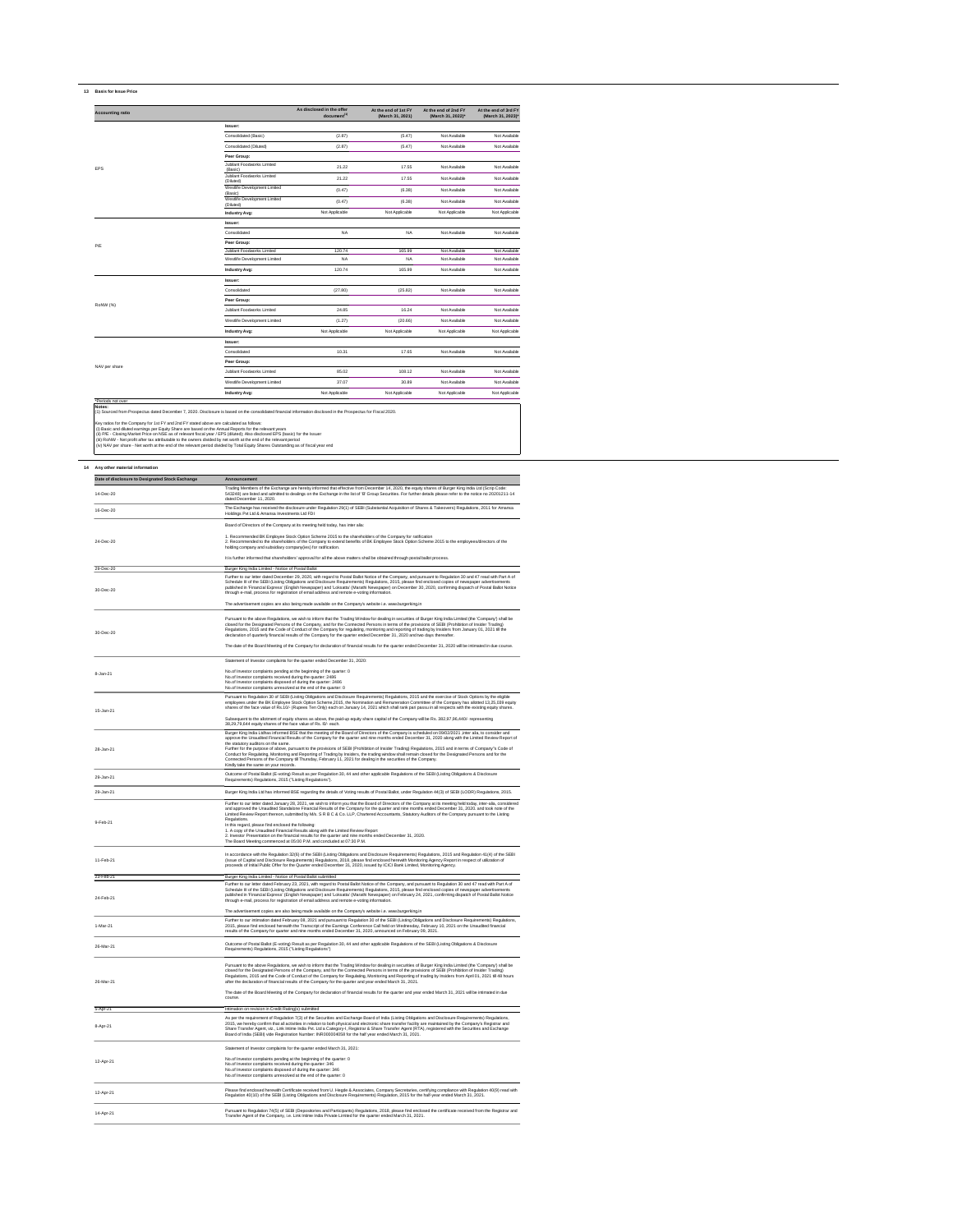# **13 Basis for Issue Price**

| <b>Accounting ratio</b> |                                           | As disclosed in the offer<br>document <sup>(1)</sup> | At the end of 1st FY<br>(March 31, 2021) | At the end of 2nd FY<br>(March 31, 2022)* | At the end of 3rd FY<br>(March 31, 2023)* |
|-------------------------|-------------------------------------------|------------------------------------------------------|------------------------------------------|-------------------------------------------|-------------------------------------------|
|                         | <b>Issuer:</b>                            |                                                      |                                          |                                           |                                           |
|                         | Consolidated (Basic)                      | (2.87)                                               | (5.47)                                   | Not Available                             | Not Available                             |
|                         | Consolidated (Diluted)                    | (2.87)                                               | (5.47)                                   | Not Available                             | Not Available                             |
|                         | Peer Group:                               |                                                      |                                          |                                           |                                           |
| <b>EPS</b>              | Jubilant Foodworks Limited<br>(Basic)     | 21.22                                                | 17.55                                    | Not Available                             | Not Available                             |
|                         | Jubilant Foodworks Limited<br>(Diluted)   | 21.22                                                | 17.55                                    | Not Available                             | Not Available                             |
|                         | Westlife Development Limited<br>(Basic)   | (0.47)                                               | (6.38)                                   | Not Available                             | Not Available                             |
|                         | Westlife Development Limited<br>(Diluted) | (0.47)                                               | (6.38)                                   | Not Available                             | Not Available                             |
|                         | <b>Industry Avg:</b>                      | Not Applicable                                       | Not Applicable                           | Not Applicable                            | Not Applicable                            |
|                         | <b>Issuer:</b>                            |                                                      |                                          |                                           |                                           |
|                         | Consolidated                              | <b>NA</b>                                            | <b>NA</b>                                | Not Available                             | Not Available                             |
| P/E                     | <b>Peer Group:</b>                        |                                                      |                                          |                                           |                                           |
|                         | Jubilant Foodworks Limited                | 120.74                                               | 165.99                                   | Not Available                             | Not Available                             |
|                         | Westlife Development Limited              | <b>NA</b>                                            | NA                                       | Not Available                             | Not Available                             |
|                         | <b>Industry Avg:</b>                      | 120.74                                               | 165.99                                   | Not Available                             | Not Available                             |
|                         | <b>Issuer:</b>                            |                                                      |                                          |                                           |                                           |
|                         | Consolidated                              | (27.80)                                              | (25.82)                                  | Not Available                             | Not Available                             |
|                         | Peer Group:                               |                                                      |                                          |                                           |                                           |
| RoNW (%)                | <b>Jubilant Foodworks Limited</b>         | 24.85                                                | 16.24                                    | Not Available                             | Not Available                             |
|                         | Westlife Development Limited              | (1.27)                                               | (20.66)                                  | Not Available                             | Not Available                             |
|                         | <b>Industry Avg:</b>                      | Not Applicable                                       | Not Applicable                           | Not Applicable                            | Not Applicable                            |
|                         | <b>Issuer:</b>                            |                                                      |                                          |                                           |                                           |
|                         | Consolidated                              | 10.31                                                | 17.65                                    | Not Available                             | Not Available                             |
|                         | Peer Group:                               |                                                      |                                          |                                           |                                           |
| NAV per share           | Jubilant Foodworks Limited                | 85.02                                                | 108.12                                   | Not Available                             | Not Available                             |
|                         | Westlife Development Limited              | 37.07                                                | 30.89                                    | Not Available                             | Not Available                             |
|                         | <b>Industry Avg:</b>                      | Not Applicable                                       | Not Applicable                           | Not Applicable                            | Not Applicable                            |
| *Periods not over       |                                           |                                                      |                                          |                                           |                                           |

(i) Basic and diluted earnings per Equity Share are based on the Annual Reports for the relevant years

(ii) P/E - Closing Market Price on NSE as of relevant fiscal year / EPS (diluted); Also disclosed EPS (basic) for the Issuer

(iii) RoNW - Net profit after tax attributable to the owners divided by net worth at the end of the relevant period

(iv) NAV per share - Net worth at the end of the relevant period divided by Total Equity Shares Outstanding as of fiscal year end

| Date of disclosure to Designated Stock Exchange | Announcement                                                                                                                                                                                                                                                                                                                                                                                                                                                                                                                                                                                                                                                                                                                                                                                                                                |
|-------------------------------------------------|---------------------------------------------------------------------------------------------------------------------------------------------------------------------------------------------------------------------------------------------------------------------------------------------------------------------------------------------------------------------------------------------------------------------------------------------------------------------------------------------------------------------------------------------------------------------------------------------------------------------------------------------------------------------------------------------------------------------------------------------------------------------------------------------------------------------------------------------|
| 14-Dec-20                                       | Trading Members of the Exchange are hereby informed that effective from December 14, 2020, the equity shares of Burger King India Ltd (Scrip Code:<br>543248) are listed and admitted to dealings on the Exchange in the list of 'B' Group Securities. For further details please refer to the notice no 20201211-14<br>dated December 11, 2020.                                                                                                                                                                                                                                                                                                                                                                                                                                                                                            |
| 16-Dec-20                                       | The Exchange has received the disclosure under Regulation 29(1) of SEBI (Substantial Acquisition of Shares & Takeovers) Regulations, 2011 for Amansa<br>Holdings Pvt Ltd & Amansa Investments Ltd FDI                                                                                                                                                                                                                                                                                                                                                                                                                                                                                                                                                                                                                                       |
|                                                 | Board of Directors of the Company at its meeting held today, has inter alia:                                                                                                                                                                                                                                                                                                                                                                                                                                                                                                                                                                                                                                                                                                                                                                |
| 24-Dec-20                                       | 1. Recommended BK Employee Stock Option Scheme 2015 to the shareholders of the Company for ratification<br>2. Recommended to the shareholders of the Company to extend benefits of BK Employee Stock Option Scheme 2015 to the employees/directors of the<br>holding company and subsidiary company(ies) for ratification.                                                                                                                                                                                                                                                                                                                                                                                                                                                                                                                  |
|                                                 | It is further informed that shareholders' approval for all the above matters shall be obtained through postal ballot process.                                                                                                                                                                                                                                                                                                                                                                                                                                                                                                                                                                                                                                                                                                               |
| 29-Dec-20                                       | Burger King India Limited - Notice of Postal Ballot                                                                                                                                                                                                                                                                                                                                                                                                                                                                                                                                                                                                                                                                                                                                                                                         |
| 30-Dec-20                                       | Further to our letter dated December 29, 2020, with regard to Postal Ballot Notice of the Company, and pursuant to Regulation 30 and 47 read with Part A of<br>Schedule III of the SEBI (Listing Obligations and Disclosure Requirements) Regulations, 2015, please find enclosed copies of newspaper advertisements<br>published in 'Financial Express' (English Newspaper) and 'Loksatta' (Marathi Newspaper) on December 30, 2020, confirming dispatch of Postal Ballot Notice<br>through e-mail, process for registration of email address and remote e-voting information.                                                                                                                                                                                                                                                             |
|                                                 | The advertisement copies are also being made available on the Company's website i.e. www.burgerking.in                                                                                                                                                                                                                                                                                                                                                                                                                                                                                                                                                                                                                                                                                                                                      |
| 30-Dec-20                                       | Pursuant to the above Regulations, we wish to inform that the Trading Window for dealing in securities of Burger King India Limited (the 'Company') shall be<br>closed for the Designated Persons of the Company, and for the Connected Persons in terms of the provisions of SEBI (Prohibition of Insider Trading)<br>Regulations, 2015 and the Code of Conduct of the Company for regulating, monitoring and reporting of trading by Insiders from January 01, 2021 till the<br>declaration of quarterly financial results of the Company for the quarter ended December 31, 2020 and two days thereafter.<br>The date of the Board Meeting of the Company for declaration of financial results for the quarter ended December 31, 2020 will be intimated in due course.                                                                  |
|                                                 | Statement of Investor complaints for the quarter ended December 31, 2020:                                                                                                                                                                                                                                                                                                                                                                                                                                                                                                                                                                                                                                                                                                                                                                   |
|                                                 |                                                                                                                                                                                                                                                                                                                                                                                                                                                                                                                                                                                                                                                                                                                                                                                                                                             |
| 8-Jan-21                                        | No.of Investor complaints pending at the beginning of the quarter: 0<br>No.of Investor complaints received during the quarter: 2486<br>No.of Investor complaints disposed of during the quarter: 2486<br>No.of Investor complaints unresolved at the end of the quarter: 0                                                                                                                                                                                                                                                                                                                                                                                                                                                                                                                                                                  |
| 15-Jan-21                                       | Pursuant to Regulation 30 of SEBI (Listing Obligations and Disclosure Requirements) Regulations, 2015 and the exercise of Stock Options by the eligible<br>employees under the BK Employee Stock Option Scheme, 2015, the Nomination and Remuneration Committee of the Company has allotted 13,25,039 equity<br>shares of the face value of Rs.10/- (Rupees Ten Only) each on January 14, 2021 which shall rank pari passu in all respects with the existing equity shares.                                                                                                                                                                                                                                                                                                                                                                 |
|                                                 | Subsequent to the allotment of equity shares as above, the paid-up equity share capital of the Company will be Rs. 382,97,96,440/- representing<br>38,29,79,644 equity shares of the face value of Rs. IO/- each.                                                                                                                                                                                                                                                                                                                                                                                                                                                                                                                                                                                                                           |
| 28-Jan-21                                       | Burger King India Ltdhas informed BSE that the meeting of the Board of Directors of the Company is scheduled on 09/02/2021 ,inter alia, to consider and<br>approve the Unaudited Financial Results of the Company for the quarter and nine months ended December 31, 2020 along with the Limited Review Report of<br>the statutory auditors on the same.<br>Further for the purpose of above, pursuant to the provisions of SEBI (Prohibition of Insider Trading) Regulations, 2015 and in terms of Company"s Code of<br>Conduct for Regulating, Monitoring and Reporting of Trading by Insiders, the trading window shall remain closed for the Designated Persons and for the<br>Connected Persons of the Company till Thursday, February 11, 2021 for dealing in the securities of the Company.<br>Kindly take the same on your records. |
| 29-Jan-21                                       | Outcome of Postal Ballot (E-voting) Result as per Regulation 30, 44 and other applicable Regulations of the SEBI (Listing Obligations & Disclosure<br>Requirements) Regulations, 2015 ("Listing Regulations").                                                                                                                                                                                                                                                                                                                                                                                                                                                                                                                                                                                                                              |
| 29-Jan-21                                       | Burger King India Ltd has informed BSE regarding the details of Voting results of Postal Ballot, under Regulation 44(3) of SEBI (LODR) Regulations, 2015.                                                                                                                                                                                                                                                                                                                                                                                                                                                                                                                                                                                                                                                                                   |
| 9-Feb-21                                        | Further to our letter dated January 28, 2021, we wish to inform you that the Board of Directors of the Company at its meeting held today, inter-alia, considered<br>and approved the Unaudited Standalone Financial Results of the Company for the quarter and nine months ended December 31, 2020. and took note of the<br>Limited Review Report thereon, submitted by M/s. S R B C & Co. LLP, Chartered Accountants, Statutory Auditors of the Company pursuant to the Listing<br>Regulations.<br>In this regard, please find enclosed the following:<br>1. A copy of the Unaudited Financial Results along with the Limited Review Report<br>2. Investor Presentation on the financial results for the quarter and nine months ended December 31, 2020.<br>The Board Meeting commenced at 05:00 P.M. and concluded at 07:30 P.M.         |
| 11-Feb-21                                       | In accordance with the Regulation 32(6) of the SEBI (Listing Obligations and Disclosure Requirements) Regulations, 2015 and Regulation 41(4) of the SEBI<br>(Issue of Capital and Disclosure Requirements) Regulations, 2018, please find enclosed herewith Monitoring Agency Report in respect of utilization of<br>proceeds of Initial Public Offer for the Quarter ended December 31, 2020, issued by ICICI Bank Limited, Monitoring Agency.                                                                                                                                                                                                                                                                                                                                                                                             |
| 23-Feb-21                                       | Burger King India Limited - Notice of Postal Ballot submitted                                                                                                                                                                                                                                                                                                                                                                                                                                                                                                                                                                                                                                                                                                                                                                               |
| 24-Feb-21                                       | Further to our letter dated February 23, 2021, with regard to Postal Ballot Notice of the Company, and pursuant to Regulation 30 and 47 read with Part A of<br>Schedule III of the SEBI (Listing Obligations and Disclosure Requirements) Regulations, 2015, please find enclosed copies of newspaper advertisements<br>published in 'Financial Express' (English Newspaper) and 'Loksatta' (Marathi Newspaper) on February 24, 2021, confirming dispatch of Postal Ballot Notice<br>through e-mail, process for registration of email address and remote e-voting information.                                                                                                                                                                                                                                                             |
|                                                 | The advertisement copies are also being made available on the Company's website i.e. www.burgerking.in                                                                                                                                                                                                                                                                                                                                                                                                                                                                                                                                                                                                                                                                                                                                      |
| 1-Mar-21                                        | Further to our intimation dated February 08, 2021 and pursuant to Regulation 30 of the SEBI (Listing Obligations and Disclosure Requirements) Regulations,<br>2015, please find enclosed herewith the Transcript of the Earnings Conference Call held on Wednesday, February 10, 2021 on the Unaudited financial<br>results of the Company for quarter and nine months ended December 31, 2020, announced on February 09, 2021.                                                                                                                                                                                                                                                                                                                                                                                                             |
| 26-Mar-21                                       | Outcome of Postal Ballot (E-voting) Result as per Regulation 30, 44 and other applicable Regulations of the SEBI (Listing Obligations & Disclosure<br>Requirements) Regulations, 2015 ("Listing Regulations")                                                                                                                                                                                                                                                                                                                                                                                                                                                                                                                                                                                                                               |

| 26-Mar-21 | Pursuant to the above Regulations, we wish to inform that the Trading Window for dealing in securities of Burger King India Limited (the 'Company') shall be<br>closed for the Designated Persons of the Company, and for the Connected Persons in terms of the provisions of SEBI (Prohibition of Insider Trading)<br>Regulations, 2015 and the Code of Conduct of the Company for Regulating, Monitoring and Reporting of trading by Insiders from April 01, 2021 till 48 hours<br>after the declaration of financial results of the Company for the quarter and year ended March 31, 2021. |
|-----------|-----------------------------------------------------------------------------------------------------------------------------------------------------------------------------------------------------------------------------------------------------------------------------------------------------------------------------------------------------------------------------------------------------------------------------------------------------------------------------------------------------------------------------------------------------------------------------------------------|
|           | The date of the Board Meeting of the Company for declaration of financial results for the quarter and year ended March 31, 2021 will be intimated in due<br>course.                                                                                                                                                                                                                                                                                                                                                                                                                           |
| 5-Apr-21  | Intimation on revision in Credit Rating(s) submitted                                                                                                                                                                                                                                                                                                                                                                                                                                                                                                                                          |
| 8-Apr-21  | As per the requirement of Regulation 7(3) of the Securities and Exchange Board of India (Listing Obligations and Disclosure Requirements) Regulations,<br>2015, we hereby confirm that all activities in relation to both physical and electronic share transfer facility are maintained by the Company's Registrar and<br>Share Transfer Agent, viz., Link Intime India Pvt. Ltd a Category-I, Registrar & Share Transfer Agent (RTA), registered with the Securities and Exchange<br>Board of India (SEBI) vide Registration Number: INR000004058 for the half year ended March 31, 2021.   |
|           | Statement of Investor complaints for the quarter ended March 31, 2021:                                                                                                                                                                                                                                                                                                                                                                                                                                                                                                                        |
| 12-Apr-21 | No.of Investor complaints pending at the beginning of the quarter: 0                                                                                                                                                                                                                                                                                                                                                                                                                                                                                                                          |
|           | No.of Investor complaints received during the quarter: 346<br>No.of Investor complaints disposed of during the quarter: 346                                                                                                                                                                                                                                                                                                                                                                                                                                                                   |
|           | No.of Investor complaints unresolved at the end of the quarter: 0                                                                                                                                                                                                                                                                                                                                                                                                                                                                                                                             |
| 12-Apr-21 | Please find enclosed herewith Certificate received from U. Hegde & Associates, Company Secretaries, certifying compliance with Regulation 40(9) read with<br>Regulation 40(10) of the SEBI (Listing Obligations and Disclosure Reguirements) Regulation, 2015 for the half-year ended March 31, 2021.                                                                                                                                                                                                                                                                                         |
| 14-Apr-21 | Pursuant to Regulation 74(5) of SEBI (Depositories and Participants) Regulations, 2018, please find enclosed the certificate received from the Registrar and<br>Transfer Agent of the Company, i.e. Link Intime India Private Limited for the quarter ended March 31, 2021.                                                                                                                                                                                                                                                                                                                   |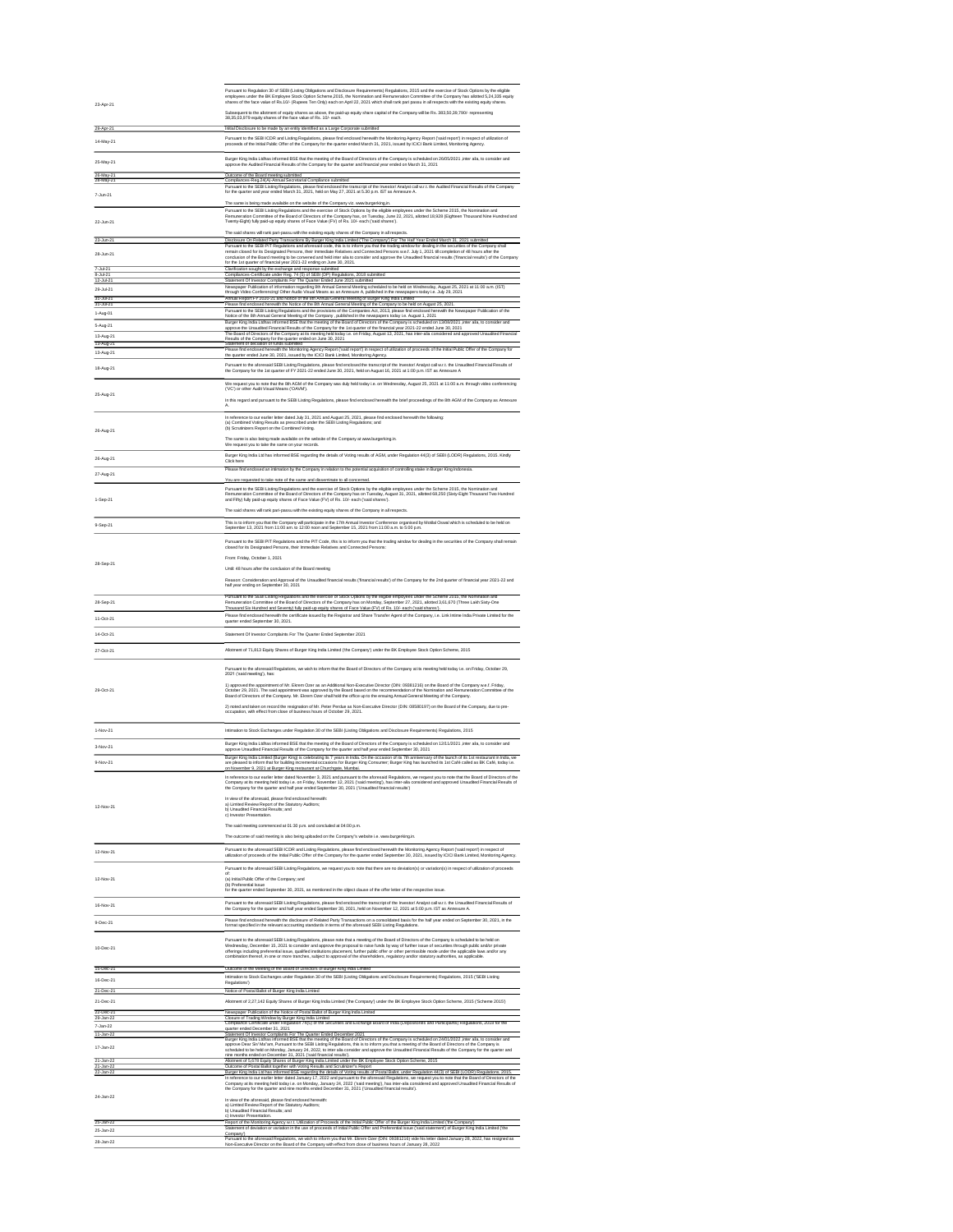| 23-Apr-21              | Pursuant to Regulation 30 of SEBI (Listing Obligations and Disclosure Requirements) Regulations, 2015 and the exercise of Stock Options by the eligible<br>employees under the BK Employee Stock Option Scheme, 2015, the Nomination and Remuneration Committee of the Company has allotted 5,24,335 equity<br>shares of the face value of Rs.10/- (Rupees Ten Only) each on April 22, 2021 which shall rank pari passu in all respects with the existing equity shares.<br>Subsequent to the allotment of equity shares as above, the paid-up equity share capital of the Company will be Rs. 383,50,39,790/- representing |
|------------------------|-----------------------------------------------------------------------------------------------------------------------------------------------------------------------------------------------------------------------------------------------------------------------------------------------------------------------------------------------------------------------------------------------------------------------------------------------------------------------------------------------------------------------------------------------------------------------------------------------------------------------------|
|                        | 38,35,03,979 equity shares of the face value of Rs. 10/- each.                                                                                                                                                                                                                                                                                                                                                                                                                                                                                                                                                              |
| 29-Apr-21              | Initial Disclosure to be made by an entity identified as a Large Corporate submitted                                                                                                                                                                                                                                                                                                                                                                                                                                                                                                                                        |
| 14-May-21              | Pursuant to the SEBI ICDR and Listing Regulations, please find enclosed herewith the Monitoring Agency Report ('said report') in respect of utilization of<br>proceeds of the Initial Public Offer of the Company for the quarter ended March 31, 2021, issued by ICICI Bank Limited, Monitoring Agency.                                                                                                                                                                                                                                                                                                                    |
| 25-May-21              | Burger King India Ltdhas informed BSE that the meeting of the Board of Directors of the Company is scheduled on 26/05/2021 ,inter alia, to consider and<br>approve the Audited Financial Results of the Company for the quarter and financial year ended on March 31, 2021                                                                                                                                                                                                                                                                                                                                                  |
| 26-May-21              | Outcome of the Board meeting submitted                                                                                                                                                                                                                                                                                                                                                                                                                                                                                                                                                                                      |
| 28-May-21              | Compliances-Reg.24(A)-Annual Secretarial Compliance submitted                                                                                                                                                                                                                                                                                                                                                                                                                                                                                                                                                               |
| 7-Jun-21               | Pursuant to the SEBI Listing Regulations, please find enclosed the transcript of the Investor/ Analyst call w.r.t. the Audited Financial Results of the Company<br>for the quarter and year ended March 31, 2021, held on May 27, 2021 at 5.30 p.m. IST as Annexure A.                                                                                                                                                                                                                                                                                                                                                      |
|                        | The same is being made available on the website of the Company viz. www.burgerking.in.                                                                                                                                                                                                                                                                                                                                                                                                                                                                                                                                      |
| 22-Jun-21              | Pursuant to the SEBI Listing Regulations and the exercise of Stock Options by the eligible employees under the Scheme 2015, the Nomination and<br>Remuneration Committee of the Board of Directors of the Company has, on Tuesday, June 22, 2021, allotted 18,928 (Eighteen Thousand Nine Hundred and<br>Twenty-Eight) fully paid-up equity shares of Face Value (FV) of Rs. 10/- each ('said shares').                                                                                                                                                                                                                     |
|                        | The said shares will rank pari-passu with the existing equity shares of the Company in all respects.                                                                                                                                                                                                                                                                                                                                                                                                                                                                                                                        |
| 23-Jun-21              | Disclosure On Related Party Transactions By Burger King India Limited ('The Company') For The Half Year Ended March 31, 2021 submitted                                                                                                                                                                                                                                                                                                                                                                                                                                                                                      |
| 28-Jun-21              | Pursuant to the SEBI PIT Regulations and aforesaid code, this is to inform you that the trading window for dealing in the securities of the Company shall<br>remain closed for its Designated Persons, their Immediate Relatives and Connected Persons w.e.f. July 1, 2021 till completion of 48 hours after the<br>conclusion of the Board meeting to be convened and held inter alia to consider and approve the Unaudited financial results ('financial results') of the Company<br>for the 1st quarter of financial year 2021-22 ending on June 30, 2021.                                                               |
| 7-Jul-21               | Clarification sought by the exchange and response submitted                                                                                                                                                                                                                                                                                                                                                                                                                                                                                                                                                                 |
| 8-Jul-21               | Compliances-Certificate under Reg. 74 (5) of SEBI (DP) Regulations, 2018 submitted                                                                                                                                                                                                                                                                                                                                                                                                                                                                                                                                          |
| 12-Jul-21              | Statement Of Investor Complaints For The Quarter Ended June 2021 submitted                                                                                                                                                                                                                                                                                                                                                                                                                                                                                                                                                  |
| 29-Jul-21              | Newspaper Publication of information regarding 8th Annual General Meeting scheduled to be held on Wednesday, August 25, 2021 at 11:00 a.m. (IST)<br>through Video Conferencing/Other Audio Visual Means as an Annexure A, published in the newspapers today i.e. July 29, 2021                                                                                                                                                                                                                                                                                                                                              |
| 31-Jul-21<br>31-Jul-21 | Annual Report FY 2020-21 and Notice of the 8th Annual General Meeting of Burger King India Limited<br>Please find enclosed herewith the Notice of the 8th Annual General Meeting of the Company to be held on August 25, 2021.                                                                                                                                                                                                                                                                                                                                                                                              |
| 1-Aug-01               | Pursuant to the SEBI Listing Regulations and the provisions of the Companies Act, 2013, please find enclosed herewith the Newspaper Publication of the<br>Notice of the 8th Annual General Meeting of the Company, published in the newspapers today i.e. August 1, 2021                                                                                                                                                                                                                                                                                                                                                    |
| 5-Aug-21               | Burger King India Ltdhas informed BSE that the meeting of the Board of Directors of the Company is scheduled on 13/08/2021 ,inter alia, to consider and<br>approve the Unaudited Financial Results of the Company for the 1st quarter of the financial year 2021-22 ended June 30, 2021                                                                                                                                                                                                                                                                                                                                     |
| 13-Aug-21              | The Board of Directors of the Company at its meeting held today i.e. on Friday, August 13, 2021, has inter-alia considered and approved Unaudited Financial<br>Results of the Company for the quarter ended on June 30, 2021                                                                                                                                                                                                                                                                                                                                                                                                |
| 13-Aug-21              | Statement of deciation of funds submitted                                                                                                                                                                                                                                                                                                                                                                                                                                                                                                                                                                                   |
| 13-Aug-21              | Please find enclosed herewith the Monitoring Agency Report ('said report') in respect of utilization of proceeds of the Initial Public Offer of the Company for<br>the quarter ended June 30, 2021, issued by the ICICI Bank Limited, Monitoring Agency.                                                                                                                                                                                                                                                                                                                                                                    |
| 18-Aug-21              | Pursuant to the aforesaid SEBI Listing Regulations, please find enclosed the transcript of the Investor/ Analyst call w.r.t. the Unaudited Financial Results of<br>the Company for the 1st quarter of FY 2021-22 ended June 30, 2021, held on August 16, 2021 at 1:00 p.m. IST as Annexure A                                                                                                                                                                                                                                                                                                                                |
| 25-Aug-21              | We request you to note that the 8th AGM of the Company was duly held today i.e. on Wednesday, August 25, 2021 at 11:00 a.m. through video conferencing<br>('VC') or other Audit Visual Means ('OAVM').                                                                                                                                                                                                                                                                                                                                                                                                                      |
|                        | In this regard and pursuant to the SEBI Listing Regulations, please find enclosed herewith the brief proceedings of the 8th AGM of the Company as Annexure<br>А.                                                                                                                                                                                                                                                                                                                                                                                                                                                            |
| 26-Aug-21              | In reference to our earlier letter dated July 31, 2021 and August 25, 2021, please find enclosed herewith the following:<br>(a) Combined Voting Results as prescribed under the SEBI Listing Regulations; and<br>(b) Scrutinizers Report on the Combined Voting.                                                                                                                                                                                                                                                                                                                                                            |
|                        | The same is also being made available on the website of the Company at www.burgerking.in.<br>We request you to take the same on your records.                                                                                                                                                                                                                                                                                                                                                                                                                                                                               |
| 26-Aug-21              | Burger King India Ltd has informed BSE regarding the details of Voting results of AGM, under Regulation 44(3) of SEBI (LODR) Regulations, 2015. Kindly<br>Click here                                                                                                                                                                                                                                                                                                                                                                                                                                                        |
| 27-Aug-21              | Please find enclosed an intimation by the Company in relation to the potential acquisition of controlling stake in Burger King Indonesia.                                                                                                                                                                                                                                                                                                                                                                                                                                                                                   |

| 15-Dec-21 | Outcome of the Meeting of the Board of Directors of Burger King India Limited                                                                                                                                                                                                                                                                                                                                                                                                                                                                    |
|-----------|--------------------------------------------------------------------------------------------------------------------------------------------------------------------------------------------------------------------------------------------------------------------------------------------------------------------------------------------------------------------------------------------------------------------------------------------------------------------------------------------------------------------------------------------------|
| 16-Dec-21 | Intimation to Stock Exchanges under Regulation 30 of the SEBI (Listing Obligations and Disclosure Requirements) Regulations, 2015 ('SEBI Listing<br>Regulations')                                                                                                                                                                                                                                                                                                                                                                                |
| 21-Dec-21 | Notice of Postal Ballot of Burger King India Limited                                                                                                                                                                                                                                                                                                                                                                                                                                                                                             |
| 21-Dec-21 | Allotment of 2,27,142 Equity Shares of Burger King India Limited ('the Company') under the BK Employee Stock Option Scheme, 2015 ('Scheme 2015')                                                                                                                                                                                                                                                                                                                                                                                                 |
| 22-Dec-21 | Newspaper Publication of the Notice of Postal Ballot of Burger King India Limited                                                                                                                                                                                                                                                                                                                                                                                                                                                                |
| 29-Jan-22 | Closure of Trading Window by Burger King India Limited                                                                                                                                                                                                                                                                                                                                                                                                                                                                                           |
| 7-Jan-22  | Compliance Certificate under Regulation 74(5) of the Securities and Exchange Board of India (Depositories and Participants) Regulations, 2018 for the<br>quarter ended December 31, 2021                                                                                                                                                                                                                                                                                                                                                         |
| 11-Jan-22 | Statement Of Investor Complaints For The Quarter Ended December 2021                                                                                                                                                                                                                                                                                                                                                                                                                                                                             |
| 17-Jan-22 | Burger King India Ltdhas informed BSE that the meeting of the Board of Directors of the Company is scheduled on 24/01/2022 , inter alia, to consider and<br>approve Dear Sir/ Ma"am, Pursuant to the SEBI Listing Regulations, this is to inform you that a meeting of the Board of Directors of the Company is<br>scheduled to be held on Monday, January 24, 2022, to inter alia consider and approve the Unaudited Financial Results of the Company for the quarter and<br>nine months ended on December 31, 2021 ('said financial results'). |
| 21-Jan-22 | Allotment of 5,678 Equity Shares of Burger King India Limited under the BK Employee Stock Option Scheme, 2015                                                                                                                                                                                                                                                                                                                                                                                                                                    |
| 21-Jan-22 | Outcome of Postal Ballot together with Voting Results and Scrutinizer"s Report                                                                                                                                                                                                                                                                                                                                                                                                                                                                   |
| 22-Jan-22 | Burger King India Ltd has informed BSE regarding the details of Voting results of Postal Ballot, under Regulation 44(3) of SEBI (LODR) Regulations, 2015.                                                                                                                                                                                                                                                                                                                                                                                        |
| 24-Jan-22 | In reference to our earlier letter dated January 17, 2022 and pursuant to the aforesaid Regulations, we request you to note that the Board of Directors of the<br>Company at its meeting held today i.e. on Monday, January 24, 2022 ('said meeting'), has inter-alia considered and approved Unaudited Financial Results of<br>the Company for the quarter and nine months ended December 31, 2021 ('Unaudited financial results').<br>In view of the aforesaid, please find enclosed herewith:                                                 |
|           | a) Limited Review Report of the Statutory Auditors;<br>b) Unaudited Financial Results; and<br>c) Investor Presentation.                                                                                                                                                                                                                                                                                                                                                                                                                          |
| 25-Jan-22 | Report of the Monitoring Agency w.r.t. Utilization of Proceeds of the Initial Public Offer of the Burger King India Limited ('the Company')                                                                                                                                                                                                                                                                                                                                                                                                      |
| 25-Jan-22 | Statement of deviation or variation in the use of proceeds of Initial Public Offer and Preferential Issue ('said statement') of Burger King India Limited ('the<br>Company')                                                                                                                                                                                                                                                                                                                                                                     |
| 28-Jan-22 | Pursuant to the aforesaid Regulations, we wish to inform you that Mr. Ekrem Ozer (DIN: 09381216) vide his letter dated January 28, 2022, has resigned as<br>Non-Executive Director on the Board of the Company with effect from close of business hours of January 28, 2022                                                                                                                                                                                                                                                                      |

|           | You are requested to take note of the same and disseminate to all concerned.                                                                                                                                                                                                                                                                                                                                                                                                |
|-----------|-----------------------------------------------------------------------------------------------------------------------------------------------------------------------------------------------------------------------------------------------------------------------------------------------------------------------------------------------------------------------------------------------------------------------------------------------------------------------------|
| 1-Sep-21  | Pursuant to the SEBI Listing Regulations and the exercise of Stock Options by the eligible employees under the Scheme 2015, the Nomination and<br>Remuneration Committee of the Board of Directors of the Company has on Tuesday, August 31, 2021, allotted 68,250 (Sixty-Eight Thousand Two Hundred<br>and Fifty) fully paid-up equity shares of Face Value (FV) of Rs. 10/- each ('said shares').                                                                         |
|           | The said shares will rank pari-passu with the existing equity shares of the Company in all respects.                                                                                                                                                                                                                                                                                                                                                                        |
| 9-Sep-21  | This is to inform you that the Company will participate in the 17th Annual Investor Conference organised by Motilal Oswal which is scheduled to be held on<br>September 13, 2021 from 11:00 am. to 12:00 noon and September 15, 2021 from 11:00 a.m. to 5:00 p.m.                                                                                                                                                                                                           |
|           | Pursuant to the SEBI PIT Regulations and the PIT Code, this is to inform you that the trading window for dealing in the securities of the Company shall remain<br>closed for its Designated Persons, their Immediate Relatives and Connected Persons:                                                                                                                                                                                                                       |
|           | From: Friday, October 1, 2021                                                                                                                                                                                                                                                                                                                                                                                                                                               |
| 28-Sep-21 | Until: 48 hours after the conclusion of the Board meeting                                                                                                                                                                                                                                                                                                                                                                                                                   |
|           | Reason: Consideration and Approval of the Unaudited financial results ('financial results') of the Company for the 2nd quarter of financial year 2021-22 and<br>half year ending on September 30, 2021                                                                                                                                                                                                                                                                      |
| 28-Sep-21 | Pursuant to the SEBI Listing Regulations and the exercise of Stock Options by the eligible employees under the Scheme 2015, the Nomination and<br>Remuneration Committee of the Board of Directors of the Company has on Monday, September 27, 2021, allotted 3,61,670 (Three Lakh Sixty-One<br>Thousand Six Hundred and Seventy) fully paid-up equity shares of Face Value (FV) of Rs. 10/- each ('said shares')                                                           |
| 11-Oct-21 | Please find enclosed herewith the certificate issued by the Registrar and Share Transfer Agent of the Company, i.e. Link Intime India Private Limited for the<br>quarter ended September 30, 2021.                                                                                                                                                                                                                                                                          |
| 14-Oct-21 | Statement Of Investor Complaints For The Quarter Ended September 2021                                                                                                                                                                                                                                                                                                                                                                                                       |
| 27-Oct-21 | Allotment of 71,813 Equity Shares of Burger King India Limited ('the Company') under the BK Employee Stock Option Scheme, 2015                                                                                                                                                                                                                                                                                                                                              |
|           | Pursuant to the aforesaid Regulations, we wish to inform that the Board of Directors of the Company at its meeting held today i.e. on Friday, October 29,<br>2021 ('said meeting'), has:                                                                                                                                                                                                                                                                                    |
| 29-Oct-21 | 1) approved the appointment of Mr. Ekrem Ozer as an Additional Non-Executive Director (DIN: 09381216) on the Board of the Company w.e.f. Friday,<br>October 29, 2021. The said appointment was approved by the Board based on the recommendation of the Nomination and Remuneration Committee of the<br>Board of Directors of the Company. Mr. Ekrem Ozer shall hold the office up to the ensuing Annual General Meeting of the Company.                                    |
|           | 2) noted and taken on record the resignation of Mr. Peter Perdue as Non-Executive Director (DIN: 08580197) on the Board of the Company, due to pre-<br>occupation, with effect from close of business hours of October 29, 2021.                                                                                                                                                                                                                                            |
| 1-Nov-21  | Intimation to Stock Exchanges under Regulation 30 of the SEBI (Listing Obligations and Disclosure Requirements) Regulations, 2015                                                                                                                                                                                                                                                                                                                                           |
| 3-Nov-21  | Burger King India Ltdhas informed BSE that the meeting of the Board of Directors of the Company is scheduled on 12/11/2021 ,inter alia, to consider and<br>approve Unaudited Financial Results of the Company for the quarter and half year ended September 30, 2021                                                                                                                                                                                                        |
| 9-Nov-21  | Burger King India Limited (Burger King) is celebrating its 7 years in India. On the occasion of its 7th anniversary of the launch of its 1st restaurant in India, we<br>are pleased to inform that for building incremental occasions for Burger King Consumer; Burger King has launched its 1st Café called as BK Café, today i.e.<br>on November 9, 2021 at Burger King restaurant at Churchgate, Mumbai.                                                                 |
| 12-Nov-21 | In reference to our earlier letter dated November 3, 2021 and pursuant to the aforesaid Regulations, we request you to note that the Board of Directors of the<br>Company at its meeting held today i.e. on Friday, November 12, 2021 ('said meeting'), has inter-alia considered and approved Unaudited Financial Results of<br>the Company for the quarter and half year ended September 30, 2021 ('Unaudited financial results')                                         |
|           | In view of the aforesaid, please find enclosed herewith:<br>a) Limited Review Report of the Statutory Auditors;<br>b) Unaudited Financial Results; and<br>c) Investor Presentation.                                                                                                                                                                                                                                                                                         |
|           | The said meeting commenced at 01:30 p.m. and concluded at 04:00 p.m.                                                                                                                                                                                                                                                                                                                                                                                                        |
|           | The outcome of said meeting is also being uploaded on the Company"s website i.e. www.burgerking.in.                                                                                                                                                                                                                                                                                                                                                                         |
| 12-Nov-21 | Pursuant to the aforesaid SEBI ICDR and Listing Regulations, please find enclosed herewith the Monitoring Agency Report ('said report') in respect of<br>utilization of proceeds of the Initial Public Offer of the Company for the quarter ended September 30, 2021, issued by ICICI Bank Limited, Monitoring Agency.                                                                                                                                                      |
| 12-Nov-21 | Pursuant to the aforesaid SEBI Listing Regulations, we request you to note that there are no deviation(s) or variation(s) in respect of utilization of proceeds                                                                                                                                                                                                                                                                                                             |
|           | of:<br>(a) Initial Public Offer of the Company; and<br>(b) Preferential Issue<br>for the quarter ended September 30, 2021, as mentioned in the object clause of the offer letter of the respective issue.                                                                                                                                                                                                                                                                   |
| 16-Nov-21 | Pursuant to the aforesaid SEBI Listing Regulations, please find enclosed the transcript of the Investor/ Analyst call w.r.t. the Unaudited Financial Results of<br>the Company for the quarter and half year ended September 30, 2021, held on November 12, 2021 at 5:00 p.m. IST as Annexure A.                                                                                                                                                                            |
|           | Please find enclosed herewith the disclosure of Related Party Transactions on a consolidated basis for the half year ended on September 30, 2021, in the                                                                                                                                                                                                                                                                                                                    |
| 9-Dec-21  | format specified in the relevant accounting standards in terms of the aforesaid SEBI Listing Regulations.                                                                                                                                                                                                                                                                                                                                                                   |
| 10-Dec-21 | Pursuant to the aforesaid SEBI Listing Regulations, please note that a meeting of the Board of Directors of the Company is scheduled to be held on<br>Wednesday, December 15, 2021 to consider and approve the proposal to raise funds by way of further issue of securities through public and/or private<br>offerings including preferential issue, qualified institutions placement, further public offer or other permissible mode under the applicable laws and/or any |

offerings including preferential issue, qualified institutions placement, further public offer or other permissible mode under the applicable laws and/or any combination thereof, in one or more tranches, subject to approval of the shareholders, regulatory and/or statutory authorities, as applicable.